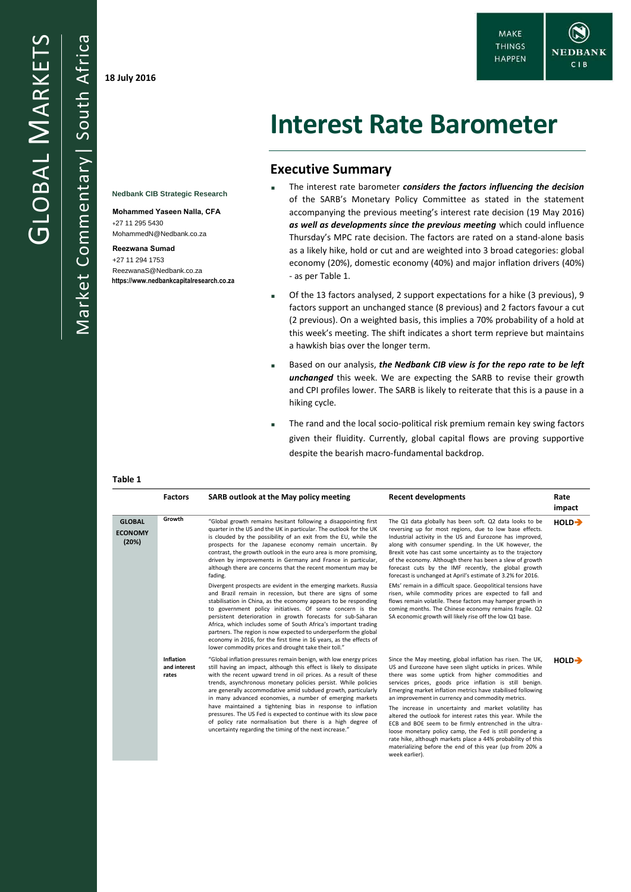Market Commentary| South Africa **18 July 2016**

South Africa

Commentary

Market

**Nedbank CIB Strategic Research Mohammed Yaseen Nalla, CFA**

MohammedN@Nedbank.co.za

ReezwanaS@Nedbank.co.za **https://www.nedbankcapitalresearch.co.za**

+27 11 295 5430

**Reezwana Sumad**  +27 11 294 1753

# **Interest Rate Barometer**

## **Executive Summary**

- The interest rate barometer *considers the factors influencing the decision* of the SARB's Monetary Policy Committee as stated in the statement accompanying the previous meeting's interest rate decision (19 May 2016) *as well as developments since the previous meeting* which could influence Thursday's MPC rate decision. The factors are rated on a stand-alone basis as a likely hike, hold or cut and are weighted into 3 broad categories: global economy (20%), domestic economy (40%) and major inflation drivers (40%) - as per Table 1.
- Of the 13 factors analysed, 2 support expectations for a hike (3 previous), 9 factors support an unchanged stance (8 previous) and 2 factors favour a cut (2 previous). On a weighted basis, this implies a 70% probability of a hold at this week's meeting. The shift indicates a short term reprieve but maintains a hawkish bias over the longer term.
- Based on our analysis, *the Nedbank CIB view is for the repo rate to be left unchanged* this week. We are expecting the SARB to revise their growth and CPI profiles lower. The SARB is likely to reiterate that this is a pause in a hiking cycle.
- The rand and the local socio-political risk premium remain key swing factors given their fluidity. Currently, global capital flows are proving supportive despite the bearish macro-fundamental backdrop.

#### **Table 1**

|                                          | <b>Factors</b>                            | SARB outlook at the May policy meeting                                                                                                                                                                                                                                                                                                                                                                                                                                                                                                                                                                                                                                 | <b>Recent developments</b>                                                                                                                                                                                                                                                                                                                                                                                                                                                                                                                                                                                                                                                                                                                             | Rate<br>impact     |
|------------------------------------------|-------------------------------------------|------------------------------------------------------------------------------------------------------------------------------------------------------------------------------------------------------------------------------------------------------------------------------------------------------------------------------------------------------------------------------------------------------------------------------------------------------------------------------------------------------------------------------------------------------------------------------------------------------------------------------------------------------------------------|--------------------------------------------------------------------------------------------------------------------------------------------------------------------------------------------------------------------------------------------------------------------------------------------------------------------------------------------------------------------------------------------------------------------------------------------------------------------------------------------------------------------------------------------------------------------------------------------------------------------------------------------------------------------------------------------------------------------------------------------------------|--------------------|
| <b>GLOBAL</b><br><b>ECONOMY</b><br>(20%) | Growth                                    | "Global growth remains hesitant following a disappointing first<br>quarter in the US and the UK in particular. The outlook for the UK<br>is clouded by the possibility of an exit from the EU, while the<br>prospects for the Japanese economy remain uncertain. By<br>contrast, the growth outlook in the euro area is more promising,<br>driven by improvements in Germany and France in particular,<br>although there are concerns that the recent momentum may be<br>fading.                                                                                                                                                                                       | The Q1 data globally has been soft. Q2 data looks to be<br>reversing up for most regions, due to low base effects.<br>Industrial activity in the US and Eurozone has improved,<br>along with consumer spending. In the UK however, the<br>Brexit vote has cast some uncertainty as to the trajectory<br>of the economy. Although there has been a slew of growth<br>forecast cuts by the IMF recently, the global growth<br>forecast is unchanged at April's estimate of 3.2% for 2016.                                                                                                                                                                                                                                                                |                    |
|                                          |                                           | Divergent prospects are evident in the emerging markets. Russia<br>and Brazil remain in recession, but there are signs of some<br>stabilisation in China, as the economy appears to be responding<br>to government policy initiatives. Of some concern is the<br>persistent deterioration in growth forecasts for sub-Saharan<br>Africa, which includes some of South Africa's important trading<br>partners. The region is now expected to underperform the global<br>economy in 2016, for the first time in 16 years, as the effects of<br>lower commodity prices and drought take their toll."                                                                      | EMs' remain in a difficult space. Geopolitical tensions have<br>risen, while commodity prices are expected to fall and<br>flows remain volatile. These factors may hamper growth in<br>coming months. The Chinese economy remains fragile. Q2<br>SA economic growth will likely rise off the low Q1 base.                                                                                                                                                                                                                                                                                                                                                                                                                                              |                    |
|                                          | <b>Inflation</b><br>and interest<br>rates | "Global inflation pressures remain benign, with low energy prices<br>still having an impact, although this effect is likely to dissipate<br>with the recent upward trend in oil prices. As a result of these<br>trends, asynchronous monetary policies persist. While policies<br>are generally accommodative amid subdued growth, particularly<br>in many advanced economies, a number of emerging markets<br>have maintained a tightening bias in response to inflation<br>pressures. The US Fed is expected to continue with its slow pace<br>of policy rate normalisation but there is a high degree of<br>uncertainty regarding the timing of the next increase." | Since the May meeting, global inflation has risen. The UK,<br>US and Eurozone have seen slight upticks in prices. While<br>there was some uptick from higher commodities and<br>services prices, goods price inflation is still benign.<br>Emerging market inflation metrics have stabilised following<br>an improvement in currency and commodity metrics.<br>The increase in uncertainty and market volatility has<br>altered the outlook for interest rates this year. While the<br>ECB and BOE seem to be firmly entrenched in the ultra-<br>loose monetary policy camp, the Fed is still pondering a<br>rate hike, although markets place a 44% probability of this<br>materializing before the end of this year (up from 20% a<br>week earlier). | $HOLD \rightarrow$ |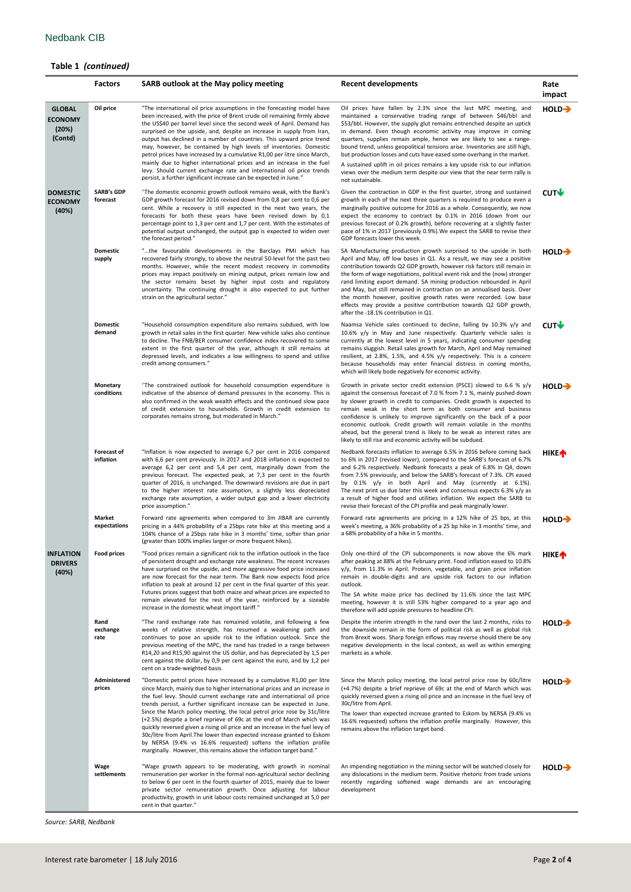## **Table 1** *(continued)*

|                                                     | <b>Factors</b>                  | SARB outlook at the May policy meeting                                                                                                                                                                                                                                                                                                                                                                                                                                                                                                                                                                                                                                                                                                                                | <b>Recent developments</b>                                                                                                                                                                                                                                                                                                                                                                                                                                                                                                                                                                                                                                                                     | Rate<br>impact          |
|-----------------------------------------------------|---------------------------------|-----------------------------------------------------------------------------------------------------------------------------------------------------------------------------------------------------------------------------------------------------------------------------------------------------------------------------------------------------------------------------------------------------------------------------------------------------------------------------------------------------------------------------------------------------------------------------------------------------------------------------------------------------------------------------------------------------------------------------------------------------------------------|------------------------------------------------------------------------------------------------------------------------------------------------------------------------------------------------------------------------------------------------------------------------------------------------------------------------------------------------------------------------------------------------------------------------------------------------------------------------------------------------------------------------------------------------------------------------------------------------------------------------------------------------------------------------------------------------|-------------------------|
| <b>GLOBAL</b><br><b>ECONOMY</b><br>(20%)<br>(Contd) | Oil price                       | "The international oil price assumptions in the forecasting model have<br>been increased, with the price of Brent crude oil remaining firmly above<br>the US\$40 per barrel level since the second week of April. Demand has<br>surprised on the upside, and, despite an increase in supply from Iran,<br>output has declined in a number of countries. This upward price trend<br>may, however, be contained by high levels of inventories. Domestic<br>petrol prices have increased by a cumulative R1,00 per litre since March,<br>mainly due to higher international prices and an increase in the fuel<br>levy. Should current exchange rate and international oil price trends<br>persist, a further significant increase can be expected in June."             | Oil prices have fallen by 2.3% since the last MPC meeting, and<br>maintained a conservative trading range of between \$46/bbl and<br>\$53/bbl. However, the supply glut remains entrenched despite an uptick<br>in demand. Even though economic activity may improve in coming<br>quarters, supplies remain ample, hence we are likely to see a range-<br>bound trend, unless geopolitical tensions arise. Inventories are still high,<br>but production losses and cuts have eased some overhang in the market.<br>A sustained uplift in oil prices remains a key upside risk to our inflation<br>views over the medium term despite our view that the near term rally is<br>not sustainable. | $HOLD \rightarrow$      |
| <b>DOMESTIC</b><br><b>ECONOMY</b><br>(40%)          | <b>SARB's GDP</b><br>forecast   | "The domestic economic growth outlook remains weak, with the Bank's<br>GDP growth forecast for 2016 revised down from 0,8 per cent to 0,6 per<br>cent. While a recovery is still expected in the next two years, the<br>forecasts for both these years have been revised down by 0,1<br>percentage point to 1,3 per cent and 1,7 per cent. With the estimates of<br>potential output unchanged, the output gap is expected to widen over<br>the forecast period."                                                                                                                                                                                                                                                                                                     | Given the contraction in GDP in the first quarter, strong and sustained<br>growth in each of the next three quarters is required to produce even a<br>marginally positive outcome for 2016 as a whole. Consequently, we now<br>expect the economy to contract by 0.1% in 2016 (down from our<br>previous forecast of 0.2% growth), before recovering at a slightly faster<br>pace of 1% in 2017 (previously 0.9%). We expect the SARB to revise their<br>GDP forecasts lower this week.                                                                                                                                                                                                        |                         |
|                                                     | <b>Domestic</b><br>supply       | "the favourable developments in the Barclays PMI which has<br>recovered fairly strongly, to above the neutral 50-level for the past two<br>months. However, while the recent modest recovery in commodity<br>prices may impact positively on mining output, prices remain low and<br>the sector remains beset by higher input costs and regulatory<br>uncertainty. The continuing drought is also expected to put further<br>strain on the agricultural sector."                                                                                                                                                                                                                                                                                                      | SA Manufacturing production growth surprised to the upside in both<br>April and May, off low bases in Q1. As a result, we may see a positive<br>contribution towards Q2 GDP growth, however risk factors still remain in<br>the form of wage negotiations, political event risk and the (now) stronger<br>rand limiting export demand. SA mining production rebounded in April<br>and May, but still remained in contraction on an annualised basis. Over<br>the month however, positive growth rates were recorded. Low base<br>effects may provide a positive contribution towards Q2 GDP growth,<br>after the -18.1% contribution in Q1.                                                    | HOLD-                   |
|                                                     | <b>Domestic</b><br>demand       | "Household consumption expenditure also remains subdued, with low<br>growth in retail sales in the first quarter. New vehicle sales also continue<br>to decline. The FNB/BER consumer confidence index recovered to some<br>extent in the first quarter of the year, although it still remains at<br>depressed levels, and indicates a low willingness to spend and utilise<br>credit among consumers."                                                                                                                                                                                                                                                                                                                                                               | Naamsa Vehicle sales continued to decline, falling by 10.3% y/y and<br>10.6% y/y in May and June respectively. Quarterly vehicle sales is<br>currently at the lowest level in 5 years, indicating consumer spending<br>remains sluggish. Retail sales growth for March, April and May remained<br>resilient, at 2.8%, 1.5%, and 4.5% y/y respectively. This is a concern<br>because households may enter financial distress in coming months,<br>which will likely bode negatively for economic activity.                                                                                                                                                                                      | CUTV                    |
|                                                     | Monetary<br>conditions          | "The constrained outlook for household consumption expenditure is<br>indicative of the absence of demand pressures in the economy. This is<br>also confirmed in the weak wealth effects and the continued slow pace<br>of credit extension to households. Growth in credit extension to<br>corporates remains strong, but moderated in March."                                                                                                                                                                                                                                                                                                                                                                                                                        | Growth in private sector credit extension (PSCE) slowed to 6.6 % $y/y$<br>against the consensus forecast of 7.0 % from 7.1 %, mainly pushed down<br>by slower growth in credit to companies. Credit growth is expected to<br>remain weak in the short term as both consumer and business<br>confidence is unlikely to improve significantly on the back of a poor<br>economic outlook. Credit growth will remain volatile in the months<br>ahead, but the general trend is likely to be weak as interest rates are<br>likely to still rise and economic activity will be subdued.                                                                                                              | HOLD-                   |
|                                                     | <b>Forecast of</b><br>inflation | "Inflation is now expected to average 6,7 per cent in 2016 compared<br>with 6,6 per cent previously. In 2017 and 2018 inflation is expected to<br>average 6,2 per cent and 5,4 per cent, marginally down from the<br>previous forecast. The expected peak, at 7,3 per cent in the fourth<br>quarter of 2016, is unchanged. The downward revisions are due in part<br>to the higher interest rate assumption, a slightly less depreciated<br>exchange rate assumption, a wider output gap and a lower electricity<br>price assumption."                                                                                                                                                                                                                                | Nedbank forecasts inflation to average 6.5% in 2016 before coming back<br>to 6% in 2017 (revised lower), compared to the SARB's forecast of 6.7%<br>and 6.2% respectively. Nedbank forecasts a peak of 6.8% in Q4, down<br>from 7.5% previously, and below the SARB's forecast of 7.3%. CPI eased<br>by 0.1% y/y in both April and May (currently at 6.1%).<br>The next print us due later this week and consensus expects $6.3\%$ y/y as<br>a result of higher food and utilities inflation. We expect the SARB to<br>revise their forecast of the CPI profile and peak marginally lower.                                                                                                     | <b>HIKE</b> <sup></sup> |
|                                                     | Market<br>expectations          | Forward rate agreements when compared to 3m JIBAR are currently<br>pricing in a 44% probability of a 25bps rate hike at this meeting and a<br>104% chance of a 25bps rate hike in 3 months' time, softer than prior<br>(greater than 100% implies larger or more frequent hikes).                                                                                                                                                                                                                                                                                                                                                                                                                                                                                     | Forward rate agreements are pricing in a 12% hike of 25 bps, at this<br>week's meeting, a 36% probability of a 25 bp hike in 3 months' time, and<br>a 68% probability of a hike in 5 months.                                                                                                                                                                                                                                                                                                                                                                                                                                                                                                   | $HOLD \rightarrow$      |
| INFLATION<br><b>DRIVERS</b><br>(40%)                | <b>Food prices</b>              | of persistent drought and exchange rate weakness. The recent increases<br>have surprised on the upside, and more aggressive food price increases<br>are now forecast for the near term. The Bank now expects food price<br>inflation to peak at around 12 per cent in the final quarter of this year.<br>Futures prices suggest that both maize and wheat prices are expected to<br>remain elevated for the rest of the year, reinforced by a sizeable<br>increase in the domestic wheat import tariff."                                                                                                                                                                                                                                                              | "Food prices remain a significant risk to the inflation outlook in the face Only one-third of the CPI subcomponents is now above the 6% mark HIKE<br>after peaking at 88% at the February print. Food inflation eased to 10.8%<br>y/y, from 11.3% in April. Protein, vegetable, and grain price inflation<br>remain in double-digits and are upside risk factors to our inflation<br>outlook.<br>The SA white maize price has declined by 11.6% since the last MPC<br>meeting, however it is still 53% higher compared to a year ago and<br>therefore will add upside pressures to headline CPI.                                                                                               |                         |
|                                                     | Rand<br>exchange<br>rate        | "The rand exchange rate has remained volatile, and following a few<br>weeks of relative strength, has resumed a weakening path and<br>continues to pose an upside risk to the inflation outlook. Since the<br>previous meeting of the MPC, the rand has traded in a range between<br>R14,20 and R15,90 against the US dollar, and has depreciated by 1,5 per<br>cent against the dollar, by 0,9 per cent against the euro, and by 1,2 per<br>cent on a trade-weighted basis.                                                                                                                                                                                                                                                                                          | Despite the interim strength in the rand over the last 2 months, risks to<br>the downside remain in the form of political risk as well as global risk<br>from Brexit woes. Sharp foreign inflows may reverse should there be any<br>negative developments in the local context, as well as within emerging<br>markets as a whole.                                                                                                                                                                                                                                                                                                                                                              | HOLD-                   |
|                                                     | Administered<br>prices          | "Domestic petrol prices have increased by a cumulative R1,00 per litre<br>since March, mainly due to higher international prices and an increase in<br>the fuel levy. Should current exchange rate and international oil price<br>trends persist, a further significant increase can be expected in June.<br>Since the March policy meeting, the local petrol price rose by 31c/litre<br>(+2.5%) despite a brief reprieve of 69c at the end of March which was<br>quickly reversed given a rising oil price and an increase in the fuel levy of<br>30c/litre from April. The lower than expected increase granted to Eskom<br>by NERSA (9.4% vs 16.6% requested) softens the inflation profile<br>marginally. However, this remains above the inflation target band." | Since the March policy meeting, the local petrol price rose by 60c/litre<br>(+4.7%) despite a brief reprieve of 69c at the end of March which was<br>quickly reversed given a rising oil price and an increase in the fuel levy of<br>30c/litre from April.<br>The lower than expected increase granted to Eskom by NERSA (9.4% vs<br>16.6% requested) softens the inflation profile marginally. However, this<br>remains above the inflation target band.                                                                                                                                                                                                                                     | $HOLD \rightarrow$      |
|                                                     | Wage<br>settlements             | "Wage growth appears to be moderating, with growth in nominal<br>remuneration per worker in the formal non-agricultural sector declining<br>to below 6 per cent in the fourth quarter of 2015, mainly due to lower<br>private sector remuneration growth. Once adjusting for labour<br>productivity, growth in unit labour costs remained unchanged at 5,0 per<br>cent in that quarter."                                                                                                                                                                                                                                                                                                                                                                              | An impending negotiation in the mining sector will be watched closely for<br>any dislocations in the medium term. Positive rhetoric from trade unions<br>recently regarding softened wage demands are an encouraging<br>development                                                                                                                                                                                                                                                                                                                                                                                                                                                            | HOLD-                   |

*Source: SARB, Nedbank*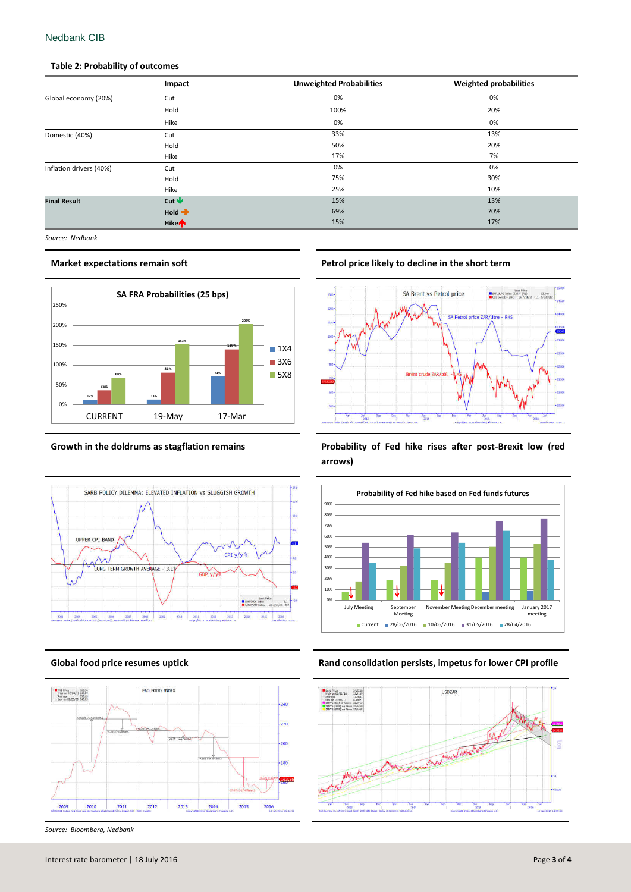## Nedbank CIB

### **Table 2: Probability of outcomes**

|                         | Impact                  | <b>Unweighted Probabilities</b> | <b>Weighted probabilities</b> |
|-------------------------|-------------------------|---------------------------------|-------------------------------|
| Global economy (20%)    | Cut                     | 0%                              | 0%                            |
|                         | Hold                    | 100%                            | 20%                           |
|                         | Hike                    | 0%                              | 0%                            |
| Domestic (40%)          | Cut                     | 33%                             | 13%                           |
|                         | Hold                    | 50%                             | 20%                           |
|                         | Hike                    | 17%                             | 7%                            |
| Inflation drivers (40%) | Cut                     | 0%                              | 0%                            |
|                         | Hold                    | 75%                             | 30%                           |
|                         | Hike                    | 25%                             | 10%                           |
| <b>Final Result</b>     | Cut $\blacklozenge$     | 15%                             | 13%                           |
|                         | $Hold \rightarrow$      | 69%                             | 70%                           |
|                         | <b>Hike<sup>n</sup></b> | 15%                             | 17%                           |

*Source: Nedbank*







*Source: Bloomberg, Nedbank*

**Market expectations remain soft Petrol price likely to decline in the short term**



**Growth in the doldrums as stagflation remains Probability of Fed hike rises after post-Brexit low (red arrows)**



**Global food price resumes uptick Rand consolidation persists, impetus for lower CPI profile**